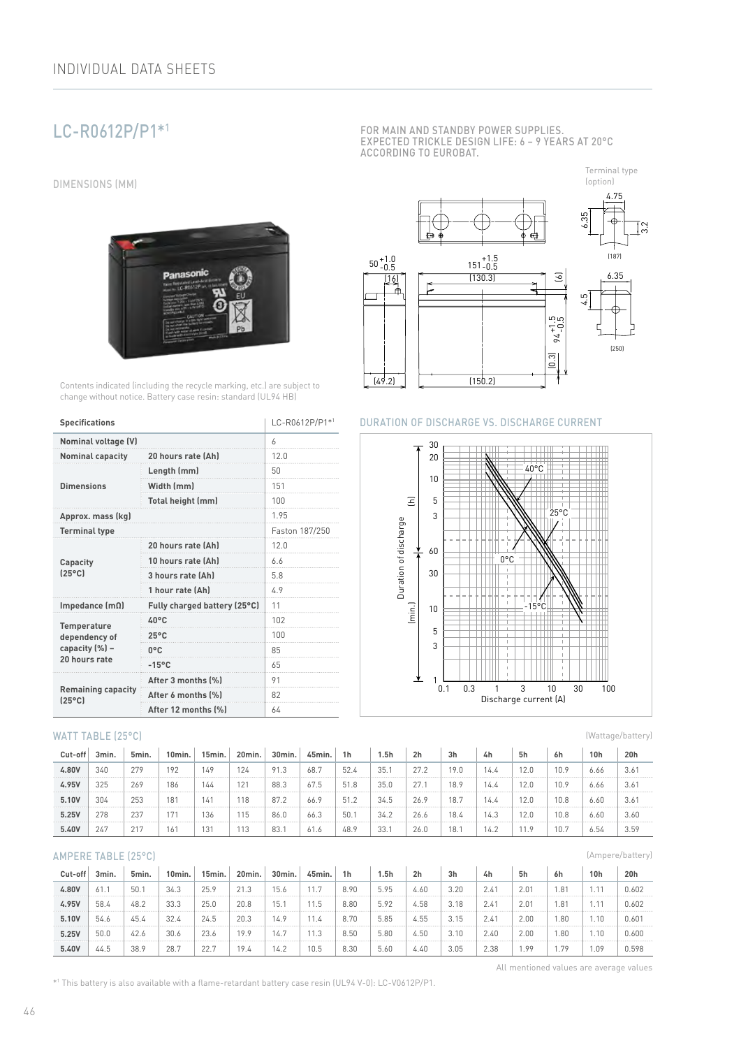# LC-R0612P/P1\*1

DIMENSIONS (MM)



Contents indicated (including the recycle marking, etc.) are subject to change without notice. Battery case resin: standard (UL94 HB)

| <b>Specifications</b>                        | LC-R0612P/P1*1               |      |  |  |
|----------------------------------------------|------------------------------|------|--|--|
| <b>Nominal voltage (V)</b>                   | 6                            |      |  |  |
| <b>Nominal capacity</b>                      | 20 hours rate (Ah)           | 12.0 |  |  |
|                                              | Length (mm)                  | 50   |  |  |
| <b>Dimensions</b>                            | Width (mm)                   | 151  |  |  |
|                                              | Total height (mm)            | 100  |  |  |
| Approx. mass (kg)                            | 195                          |      |  |  |
| <b>Terminal type</b>                         | Faston 187/250               |      |  |  |
|                                              | 20 hours rate (Ah)           | 12.0 |  |  |
| Capacity                                     | 10 hours rate (Ah)           | 6.6  |  |  |
| $[25^{\circ}$ C                              | 3 hours rate (Ah)            | 5.8  |  |  |
|                                              | 1 hour rate (Ah)             | 4.9  |  |  |
| Impedance $(m\Omega)$                        | Fully charged battery (25°C) | 11   |  |  |
| <b>Temperature</b>                           | 40°C                         | 102  |  |  |
| dependency of                                | $25^{\circ}$ C               | 100  |  |  |
| capacity (%) -                               | 0°C                          | 85   |  |  |
| 20 hours rate                                | $-15^{\circ}$ C              | 65   |  |  |
|                                              | After 3 months (%)           | 91   |  |  |
| <b>Remaining capacity</b><br>$(25^{\circ}C)$ | After 6 months (%)           | 82   |  |  |
|                                              | After 12 months (%)          | 64   |  |  |

### WATT TABLE (25°C)

| Cut-off | 3min. | 5min. | 10min.          | 15min. | 20min. | 30min. | 45min. | 1 <sub>h</sub> | 5h   | 2 <sub>h</sub> | 3 <sub>h</sub> | 4h   | 5h  | 6h   | 10h  | 20h           |
|---------|-------|-------|-----------------|--------|--------|--------|--------|----------------|------|----------------|----------------|------|-----|------|------|---------------|
| 4.80V   | 340   | 279   | 192             | 149    | 124    | 91.3   | 68.7   | 52.4           | 35.  | 27.2           | 19.0           | 14.4 |     | 10.9 | 6.66 | 3.6           |
| 4.95V   | 325   | 269   | 186             | 144    | 121    | 88.3   | 67.5   | 51.8           | 35.0 | 27.7           | 18.9           | 14.4 |     | 10.9 | 6.66 | $3.6^{\circ}$ |
| 5.10V   | 304   | 253   | 18 <sup>7</sup> | 141    | 118    | 87.2   | 66.9   | 51.2           | 34.5 | 26.9           | 18.7           | 14.4 | 2.0 | 10.8 | 6.60 | $3.6^\circ$   |
| 5.25V   | 278   | 237   | $-774$          | 136    | 115    | 86.0   | 66.3   | 50.            | 34.2 | 26.6           | 18.4           | 14.3 | 2.0 | 10.8 | 6.60 | 3.60          |
| 5.40V   | 247   | 217   | 16 <sup>1</sup> | 131    | 113    | 83.1   | 61.6   | 48.9           | 33.  | 26.0           | 18.            | 14.2 |     | 10.7 | 6.54 | 3.59          |

### AMPERE TABLE (25°C)

| Cut-off | 3min. | 5min. | 10min. | 15min. | 20min. | 30 <sub>min</sub> | 45min. | 1 <sub>h</sub> | 5h   | 2 <sub>h</sub> | 3 <sub>h</sub> | 4h            | 5h            | 6h  | 10 <sub>h</sub> | 20h   |
|---------|-------|-------|--------|--------|--------|-------------------|--------|----------------|------|----------------|----------------|---------------|---------------|-----|-----------------|-------|
| 4.80V   | 61.1  | 50.   | 34.3   | 25.9   | 21.3   | 15.6              |        | 8.90           | 5.95 | 4.60           | 3.20           | $2.4^{\circ}$ | 2.01          | .81 |                 | 0.602 |
| 4.95V   | 58.4  | 48.2  | 33.3   | 25.0   | 20.8   | 15.1              | 1.5    | 8.80           | 5.92 | 4.58           | 3.18           | $2.4^{\circ}$ | $2.0^{\circ}$ | .81 |                 | 0.602 |
| 5.10V   | 54.6  | 45.4  | 32.4   | 24.5   | 20.3   | 14.9              |        | 8.70           | 5.85 | 4.55           | 3.15           | $2.4^{\circ}$ | 2.00          | .80 | .10             | 0.601 |
| 5.25V   | 50.0  | 42.6  | 30.6   | 23.6   | 19.9   | 14.7              | 1.3    | 8.50           | 5.80 | 4.50           | 3.10           | 2.40          | 2.00          | .80 | 1.10            | 0.600 |
| 5.40V   | 44.5  | 38.9  | 28.    | 22.7   | 19.4   | 14.2              | 10.5   | 8.30           | 5.60 | 4.40           | 3.05           | 2.38          | .9°           | .79 | 09،             | 0.598 |

FOR MAIN AND STANDBY POWER SUPPLIES. EXPECTED TRICKLE DESIGN LIFE: 6 – 9 YEARS AT 20°C ACCORDING TO EUROBAT.

Terminal type



# DURATION OF DISCHARGE VS. DISCHARGE CURRENT



(Wattage/battery)

(Ampere/battery)

All mentioned values are average values

\*1 This battery is also available with a flame-retardant battery case resin (UL94 V-0): LC-V0612P/P1.